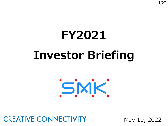# **FY2021 Investor Briefing**



## **CREATIVE CONNECTIVITY**

May 19, 2022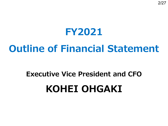## **FY2021**

## **Outline of Financial Statement**

## **Executive Vice President and CFO KOHEI OHGAKI**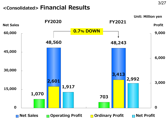### **<Consolidated> Financial Results**

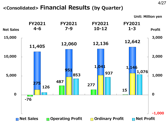#### **<Consolidated> Financial Results (by Quarter)**

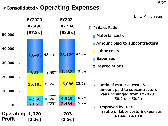### **<Consolidated> Operating Expenses**



**Unit: Million yen**

- **[ ]: Sales Ratio**
	-
	- **Amount paid to subcontractors**
	- **Labor costs**
	- **Expenses**
	- **n** Depreciations

- **Ratio of material costs & amount paid to subcontractors was unchanged from FY2020**  $50.2\% \rightarrow 50.2\%$
- **Improved by 0.3% in ratio of labor costs & expenses**  $43.4\% \rightarrow 43.1\%$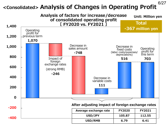## **<Consolidated> Analysis of Changes in Operating Profit**

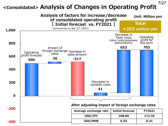## **<Consolidated> Analysis of Changes in Operating Profit**

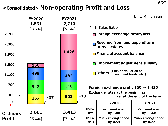### **<Consolidated> Non-operating Profit and Loss**

|                    | <b>FY2020</b><br>1,531<br>[3.2%] |       | <b>FY2021</b><br>2,710<br>[5.6%] |       |                    | ]: Sales Ratio                                                    | <b>Unit: Million yen</b>        |
|--------------------|----------------------------------|-------|----------------------------------|-------|--------------------|-------------------------------------------------------------------|---------------------------------|
| 2,700              |                                  |       |                                  |       |                    | $\blacksquare$ Foreign exchange profit/loss                       |                                 |
| 2,300              |                                  |       |                                  |       |                    | Revenue from and expenditure<br>to real estates                   |                                 |
| 1,900              |                                  |       | 1,426                            |       |                    | <b>n</b> Financial account balance                                |                                 |
| 1,500              | <b>160</b>                       |       |                                  |       |                    | $\blacksquare$ Employment adjustment subsidy                      |                                 |
| 1,100              | 499                              |       | 482                              |       |                    | (Gain on valuation of<br>investment funds, etc.)<br><b>Others</b> |                                 |
| 700                | 542                              |       | 318                              |       |                    | Foreign exchange profit $160 \rightarrow 1,426$                   |                                 |
| 300                | 367                              | $-37$ | 502                              | $-18$ |                    | <b>Exchange rates at the beginning</b>                            | vs. at the end of the term      |
| $\bf{0}$<br>$-100$ |                                  |       |                                  |       |                    | <b>FY2020</b>                                                     | <b>FY2021</b>                   |
| <b>Ordinary</b>    | 2,601                            |       | 3,413                            |       | USD/<br><b>JPY</b> | <b>Yen weakened</b><br>by 1.88                                    | <b>Yen weakened</b><br>by 11.68 |
| <b>Profit</b>      | [5.4%]                           |       | $[7.1\%]$                        |       | USD/<br><b>RMB</b> | Yuan strengthened<br>by 0.54                                      | Yuan strengthened<br>by 0.22    |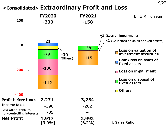#### **<Consolidated> Extraordinary Profit and Loss**

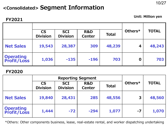### **<Consolidated> Segment Information**

#### **FY2021**

**Unit: Million yen**

|                                  | <b>CS</b>       | <b>SCI</b>      | R&D           |              | Others*     | <b>TOTAL</b> |
|----------------------------------|-----------------|-----------------|---------------|--------------|-------------|--------------|
|                                  | <b>Division</b> | <b>Division</b> | <b>Center</b> | <b>Total</b> |             |              |
| <b>Net Sales</b>                 | 19,543          | 28,387          | 309           | 48,239       | 4           | 48,243       |
| <b>Operating<br/>Profit/Loss</b> | 1,036           | $-135$          | $-196$        | 703          | $\mathbf 0$ | 703          |

#### **FY2020**

|                                  |                              | <b>Reporting Segment</b>      |               |              |         |              |
|----------------------------------|------------------------------|-------------------------------|---------------|--------------|---------|--------------|
|                                  | <b>CS</b><br><b>Division</b> | <b>SCI</b><br><b>Division</b> | R&D<br>Center | <b>Total</b> | Others* | <b>TOTAL</b> |
| <b>Net Sales</b>                 | 19,840                       | 28,431                        | 285           | 48,556       | 3       | 48,560       |
| <b>Operating<br/>Profit/Loss</b> | 1,444                        | $-72$                         | $-294$        | 1,077        | -7      | 1,070        |

\*Others: Other components business, lease, real-estate rental, and worker dispatching undertaking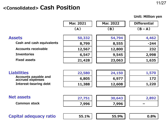#### **<Consolidated> Cash Position**

|                                                 |           |           | <b>Unit: Million yen</b> |
|-------------------------------------------------|-----------|-----------|--------------------------|
|                                                 | Mar. 2021 | Mar. 2022 | <b>Differential</b>      |
|                                                 | (A)       | (B)       | $(B-A)$                  |
| <b>Assets</b>                                   | 50,332    | 54,794    | 4,462                    |
| Cash and cash equivalents                       | 8,799     | 8,555     | $-244$                   |
| <b>Accounts receivable</b>                      | 12,567    | 12,800    | 232                      |
| <b>Inventories</b>                              | 6,547     | 9,545     | 2,998                    |
| <b>Fixed assets</b>                             | 21,428    | 23,063    | 1,635                    |
|                                                 |           |           |                          |
| <b>Liabilities</b>                              | 22,580    | 24,150    | 1,570                    |
| <b>Accounts payable and</b><br>accrued expenses | 6,805     | 6,977     | 172                      |
| <b>Interest-bearing debt</b>                    | 11,388    | 12,608    | 1,220                    |
|                                                 |           |           |                          |
| <b>Net assets</b>                               | 27,751    | 30,643    | 2,892                    |
| <b>Common stock</b>                             | 7,996     | 7,996     |                          |
|                                                 |           |           |                          |
| Capital adequacy ratio                          | 55.1%     | 55.9%     | 0.8%                     |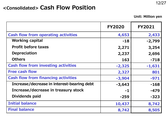#### **<Consolidated> Cash Flow Position**

**Unit: Million yen**

|                                            | <b>FY2020</b> | <b>FY2021</b> |
|--------------------------------------------|---------------|---------------|
| <b>Cash flow from operating activities</b> | 4,653         | 2,433         |
| <b>Working capital</b>                     | $-18$         | $-2,799$      |
| <b>Profit before taxes</b>                 | 2,271         | 3,254         |
| <b>Depreciation</b>                        | 2,237         | 2,696         |
| <b>Others</b>                              | 163           | $-718$        |
| <b>Cash flow from investing activities</b> | $-2,325$      | $-1,631$      |
| <b>Free cash flow</b>                      | 2,327         | 801           |
| <b>Cash flow from financing activities</b> | $-3,904$      | $-971$        |
| Increase/decrease in interest-bearing debt | $-3,643$      | $-168$        |
| Increase/decrease in treasury stock        | $-1$          | $-479$        |
| Dividends paid                             | $-259$        | $-323$        |
| <b>Initial balance</b>                     | 10,437        | 8,742         |
| <b>Final balance</b>                       | 8,742         | 8,505         |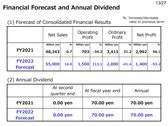## **Financial Forecast and Annual Dividend**

(1) Forecast of Consolidated Financial Results

%: Increase/decrease ratio to previous term

|                                  | <b>Net Sales</b>      |                | Operating<br>Profit  |                 | Ordinary<br>Profit   |              | Net Profit           |           |
|----------------------------------|-----------------------|----------------|----------------------|-----------------|----------------------|--------------|----------------------|-----------|
| <b>FY2021</b>                    | Million yen<br>48,243 | $\%$<br>$-0.7$ | Million yen  <br>703 | $\%$<br>$-34.2$ | Million yen<br>3,413 | $\%$<br>31.2 | Million yen<br>2,992 | %<br>56.1 |
| <b>FY2022</b><br><b>Forecast</b> | 55,000                | 14.0           | 1,500                | 113.1           | 2,000                | $-41.4$      | 1,400                | $-53.2$   |

#### (2) Annual Dividend

|                                  | At second<br>quarter end | At fiscal year end | Annual    |
|----------------------------------|--------------------------|--------------------|-----------|
| <b>FY2021</b>                    | 0.00 yen                 | 70.00 yen          | 70.00 yen |
| <b>FY2022</b><br><b>Forecast</b> | 0.00 yen                 | 70.00 yen          | 70.00 yen |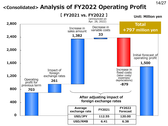### **<Consolidated> Analysis of FY2022 Operating Profit**

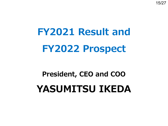15/27

**FY2021 Result and FY2022 Prospect**

## **President, CEO and COO YASUMITSU IKEDA**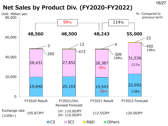## **Net Sales by Product Div. (FY2020-FY2022)**

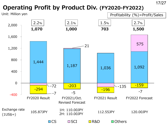## **Operating Profit by Product Div. (FY2020-FY2022)**

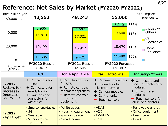### **Reference: Net Sales by Market (FY2020-FY2022)**

| Unit: Million yen<br>60,000                                                         |         | 48,560                                                                                                     |  |                                      | 48,243                                                                                |                                                                                                                               | 55,000          |                    | %: Compared to<br>previous term                                                                                 |
|-------------------------------------------------------------------------------------|---------|------------------------------------------------------------------------------------------------------------|--|--------------------------------------|---------------------------------------------------------------------------------------|-------------------------------------------------------------------------------------------------------------------------------|-----------------|--------------------|-----------------------------------------------------------------------------------------------------------------|
| 40,000                                                                              |         | 3,906<br>14,819                                                                                            |  |                                      | 4,587<br>17,321                                                                       |                                                                                                                               | 5,210<br>19,640 | 114%<br>113%       | Industry/<br><b>Others</b><br>Car                                                                               |
| 20,000                                                                              |         | 19,199                                                                                                     |  |                                      | 16,912                                                                                |                                                                                                                               | 18,670          | 110%               | <b>Electronics</b><br>Home<br>Appliance                                                                         |
| $\boldsymbol{0}$                                                                    |         | 10,635                                                                                                     |  |                                      | 9,421                                                                                 |                                                                                                                               | 11,480          | 122%               | $\Box$ ICT                                                                                                      |
| <b>FY2020 Result</b><br>Exchange rate<br>105.87JPY<br>$(1US\frac{1}{2})$            |         |                                                                                                            |  | FY2021 Result<br>112.55JPY           |                                                                                       | <b>FY2022 Forecast</b><br>120.00JPY                                                                                           |                 |                    |                                                                                                                 |
|                                                                                     |         |                                                                                                            |  |                                      |                                                                                       |                                                                                                                               |                 |                    |                                                                                                                 |
|                                                                                     |         | <b>ICT</b>                                                                                                 |  |                                      | <b>Home Appliance</b>                                                                 | <b>Car Electronics</b>                                                                                                        |                 |                    | <b>Industry/Others</b>                                                                                          |
| <b>FY2022</b><br><b>Factors for</b><br>Increase/<br><b>Decrease</b><br>(vs. FY2021) | tablets | $+$ Connectors for<br>$+$ Connectors for<br>smartphones<br>$+$ Switches and<br>connectors for<br>wearables |  | for STBs<br>for housing<br>equipment | $+$ Remote controls<br>$+$ Remote controls<br>for smart appliances<br>Remote controls | $+$ Camera connectors<br>$+$ Connectors for<br>electrical devices<br>$+$ Camera modules<br>$+$ Control units<br>Touch sensors |                 | modules<br>modules | $+$ Connectors and<br>units for photovoltaic<br>$+$ Smart meter<br>$-$ Touch sensors for<br>all-in-one printers |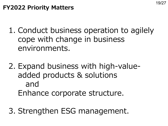- 1. Conduct business operation to agilely cope with change in business environments.
- 2. Expand business with high-valueadded products & solutions and Enhance corporate structure.
- 3. Strengthen ESG management.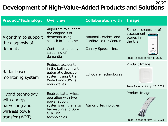#### 20/27 **Development of High-Value-Added Products and Solutions**

| <b>Product/Technology</b>                                                              | <b>Overview</b>                                                                                                                             | <b>Collaboration with</b>                                             | <b>Image</b>                                                                                                                                      |
|----------------------------------------------------------------------------------------|---------------------------------------------------------------------------------------------------------------------------------------------|-----------------------------------------------------------------------|---------------------------------------------------------------------------------------------------------------------------------------------------|
| Algorithm to support<br>the diagnosis of<br>dementia                                   | Algorithm to support<br>the diagnosis of<br>dementia using<br>speech in Japanese<br>Contributes to early<br>screening of<br>dementia        | National Cerebral and<br>Cardiovascular Center<br>Canary Speech, Inc. | Sample screenshot of<br>assessment<br>scores in<br>the U.S.<br>59<br>out of<br>100<br>Thank you fo<br>our survey<br>Press Release of Mar. 8, 2022 |
| Radar based<br>monitoring system                                                       | Reduces accidents<br>in the bathroom with<br>automatic detection<br>system using Ultra<br>Wide Band (UWB)<br>radio waves                    | EchoCare Technologies                                                 | Product Image<br>Press Release of Aug. 27, 2021                                                                                                   |
| Hybrid technology<br>with energy<br>harvesting and<br>wireless power<br>transfer (WPT) | Enables battery-less<br>operation with two<br>power supply<br>systems using energy<br>harvesting and Sub-<br><b>GHZ WPT</b><br>technologies | Atmosic Technologies                                                  | Product Image<br>Press Release of Nov. 18, 2021                                                                                                   |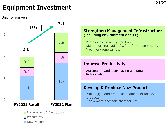21/27

## **Equipment Investment**

Unit: Billion yen



**□ New Product**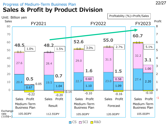#### Progress of Medium-Term Business Plan **Sales & Profit by Product Division**



 $\Box$ CS  $\Box$  SCI  $\Box$  R&D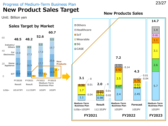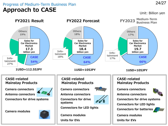#### Progress of Medium-Term Business Plan **Approach to CASE**

#### Unit: Billion yen

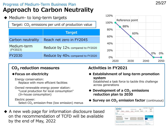#### Progress of Medium-Term Business Plan **Approach to Carbon Neutrality**





#### **CO2 reduction measures**

#### **◆Focus on electricity**

Energy conservation: Replace with more efficient facilities

Owned renewable energy power station: "Local production for local consumption" (In-house consumption)

Electric power: Select  $CO<sub>2</sub>$  emission-free (low emission) menus

#### **Activities in FY2021**

**◆ Establishment of long-term promotion system**

Established a task force to tackle this challenge across generations

- ◆ **Development of a CO<sub>2</sub> emissions reduction plan to 2030**
- ◆ **Survey on CO<sub>2</sub> emission factor** (continuous)
- A new web page for information disclosure based on the recommendation of TCFD will be available by the end of May, 2022

| SMK                                                              | SMK JAPAN in English          | $\circ$              | - Investor Relations - Inquiry - Sitemso<br><b>City Light</b> |
|------------------------------------------------------------------|-------------------------------|----------------------|---------------------------------------------------------------|
| Product<br>Category<br>Application<br>Search                     | Guide to SMK<br>Feature       | <b>Investors</b>     | CSR<br>Caroors                                                |
| <b>ICSR</b><br>$SMKTOP > CSR > E - TCPDWH$<br><b>Environment</b> |                               |                      | <b>O</b> Inquiry<br><b>Child have for monitor</b>             |
| <b>Environmental</b><br>Response<br>to TCFD<br>Management        | Environmental<br>Preservation | Green<br>Procurement | short we aradicts, market crowds<br>and company information   |
| <b>Response to the TCFD</b>                                      |                               |                      | CSR                                                           |
|                                                                  |                               |                      | . Too Message                                                 |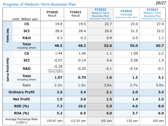#### 26/27 Progress of Medium-Term Business Plan

|                         | Unit: Billion yen                  | <b>FY2020</b><br>Result                              | <b>FY2021</b><br>Result | <b>FY2022</b><br>Medium-Term<br><b>Business Plan</b><br>announced in May 2021 | <b>FY2022</b><br>Forecast<br>announced in May 2022 | <b>FY2023</b><br>Medium-Term<br><b>Business Plan</b><br>announced in May 2021 |
|-------------------------|------------------------------------|------------------------------------------------------|-------------------------|-------------------------------------------------------------------------------|----------------------------------------------------|-------------------------------------------------------------------------------|
|                         | <b>CS</b>                          | 19.8                                                 | 19.5                    | 22.7                                                                          | 23.0                                               | 27.4                                                                          |
|                         | <b>SCI</b>                         | 28.4                                                 | 28.4                    | 29.0                                                                          | 31.5                                               | 32.2                                                                          |
| <b>Net Sales</b>        | <b>R&amp;D</b>                     | 0.3                                                  | 0.3                     | 0.9                                                                           | 0.5                                                | 1.1                                                                           |
|                         | <b>Total</b><br>including others   | 48.5                                                 | 48.2                    | 52.6                                                                          | 55.0                                               | 60.7                                                                          |
|                         | <b>CS</b>                          | 1.44                                                 | 1.04                    | 1.1                                                                           | 1.09                                               | 2.2                                                                           |
|                         | <b>SCI</b>                         | $-0.07$                                              | $-0.14$                 | 0.6                                                                           | 0.58                                               | 1.0                                                                           |
| <b>Operating Profit</b> | <b>R&amp;D</b>                     | $-0.29$<br>* There is change in<br>reporting segment | $-0.20$                 | $-0.1$                                                                        | $-0.16$                                            | $-0.1$                                                                        |
|                         | <b>Total</b><br>including others   | 1.07                                                 | 0.70                    | 1.6                                                                           | 1.5                                                | 3.1                                                                           |
|                         | Ratio                              | 2.2%                                                 | 1.5%                    | 3.0%                                                                          | 2.7%                                               | 5.0%                                                                          |
|                         | <b>Ordinary Profit</b>             | 2.6                                                  | 3.4                     | 2.1                                                                           | 2.0                                                | 3.5                                                                           |
|                         | <b>Net Profit</b>                  | 1.9                                                  | 3.0                     | 1.5                                                                           | 1.4                                                | 2.5                                                                           |
|                         | <b>ROE</b> (%)                     | 7.3                                                  | 10.2                    | 5.0                                                                           | 4.6                                                | 8.0                                                                           |
|                         | <b>ROA</b> (%)                     | 5.2                                                  | 6.5                     | 4.0                                                                           | 3.7                                                | 6.0                                                                           |
|                         | Average Exchange Rate<br>$(1USD=)$ | 105.87 yen                                           | 112.55 yen              | $105$ yen                                                                     | $120$ yen                                          | $105$ yen                                                                     |